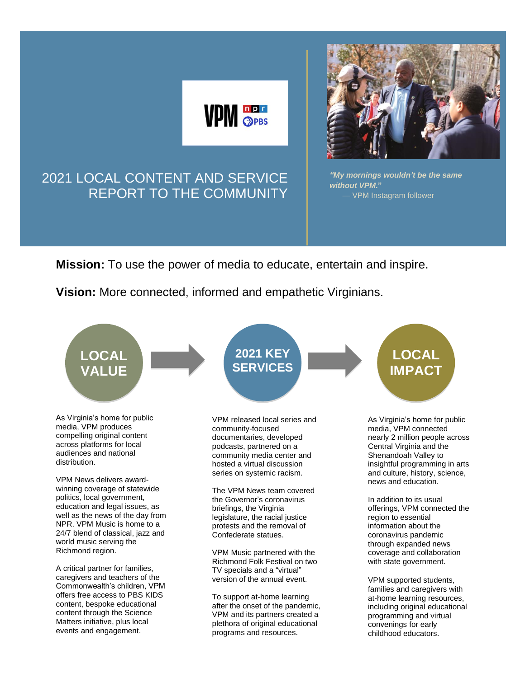



# 2021 LOCAL CONTENT AND SERVICE REPORT TO THE COMMUNITY

*"My mornings wouldn't be the same without VPM.***"** — VPM Instagram follower

**Mission:** To use the power of media to educate, entertain and inspire.

**Vision:** More connected, informed and empathetic Virginians.



NPR. VPM Music is home to a 24/7 blend of classical, jazz and world music serving the Richmond region.

A critical partner for families, caregivers and teachers of the Commonwealth's children, VPM offers free access to PBS KIDS content, bespoke educational content through the Science Matters initiative, plus local events and engagement.

legislature, the racial justice protests and the removal of Confederate statues. VPM Music partnered with the

Richmond Folk Festival on two TV specials and a "virtual" version of the annual event.

To support at-home learning after the onset of the pandemic, VPM and its partners created a plethora of original educational programs and resources.

insightful programming in arts offerings, VPM connected the region to essential information about the

coronavirus pandemic through expanded news coverage and collaboration with state government.

VPM supported students, families and caregivers with at-home learning resources, including original educational programming and virtual convenings for early childhood educators.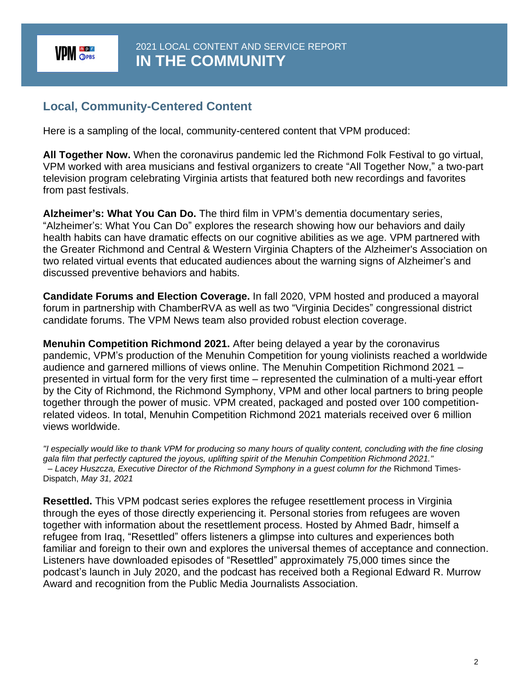# **Local, Community-Centered Content**

Here is a sampling of the local, community-centered content that VPM produced:

**All Together Now.** When the coronavirus pandemic led the Richmond Folk Festival to go virtual, VPM worked with area musicians and festival organizers to create "All Together Now," a two-part television program celebrating Virginia artists that featured both new recordings and favorites from past festivals.

**Alzheimer's: What You Can Do.** The third film in VPM's dementia documentary series, "Alzheimer's: What You Can Do" explores the research showing how our behaviors and daily health habits can have dramatic effects on our cognitive abilities as we age. VPM partnered with the Greater Richmond and Central & Western Virginia Chapters of the Alzheimer's Association on two related virtual events that educated audiences about the warning signs of Alzheimer's and discussed preventive behaviors and habits.

**Candidate Forums and Election Coverage.** In fall 2020, VPM hosted and produced a mayoral forum in partnership with ChamberRVA as well as two "Virginia Decides" congressional district candidate forums. The VPM News team also provided robust election coverage.

**Menuhin Competition Richmond 2021.** After being delayed a year by the coronavirus pandemic, VPM's production of the Menuhin Competition for young violinists reached a worldwide audience and garnered millions of views online. The Menuhin Competition Richmond 2021 – presented in virtual form for the very first time – represented the culmination of a multi-year effort by the City of Richmond, the Richmond Symphony, VPM and other local partners to bring people together through the power of music. VPM created, packaged and posted over 100 competitionrelated videos. In total, Menuhin Competition Richmond 2021 materials received over 6 million views worldwide.

*"I especially would like to thank VPM for producing so many hours of quality content, concluding with the fine closing gala film that perfectly captured the joyous, uplifting spirit of the Menuhin Competition Richmond 2021." – Lacey Huszcza, Executive Director of the Richmond Symphony in a guest column for the* Richmond Times-Dispatch, *May 31, 2021*

**Resettled.** This VPM podcast series explores the refugee resettlement process in Virginia through the eyes of those directly experiencing it. Personal stories from refugees are woven together with information about the resettlement process. Hosted by Ahmed Badr, himself a refugee from Iraq, "Resettled" offers listeners a glimpse into cultures and experiences both familiar and foreign to their own and explores the universal themes of acceptance and connection. Listeners have downloaded episodes of "Resettled" approximately 75,000 times since the podcast's launch in July 2020, and the podcast has received both a Regional Edward R. Murrow Award and recognition from the Public Media Journalists Association.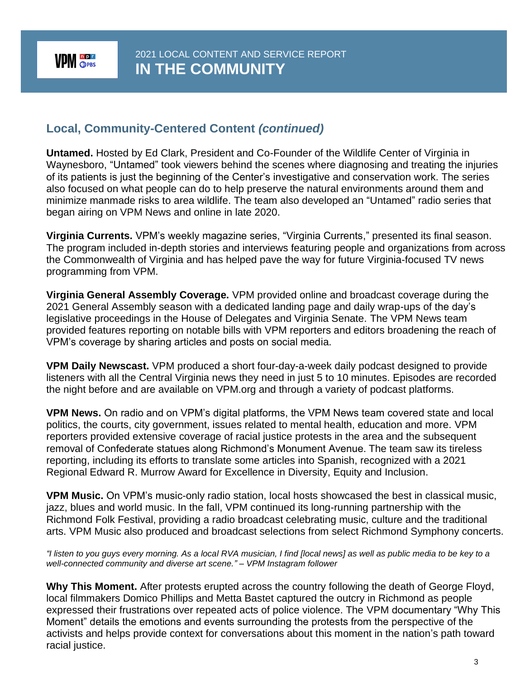

### **Local, Community-Centered Content** *(continued)*

**Untamed.** Hosted by Ed Clark, President and Co-Founder of the Wildlife Center of Virginia in Waynesboro, "Untamed" took viewers behind the scenes where diagnosing and treating the injuries of its patients is just the beginning of the Center's investigative and conservation work. The series also focused on what people can do to help preserve the natural environments around them and minimize manmade risks to area wildlife. The team also developed an "Untamed" radio series that began airing on VPM News and online in late 2020.

**Virginia Currents.** VPM's weekly magazine series, "Virginia Currents," presented its final season. The program included in-depth stories and interviews featuring people and organizations from across the Commonwealth of Virginia and has helped pave the way for future Virginia-focused TV news programming from VPM.

**Virginia General Assembly Coverage.** VPM provided online and broadcast coverage during the 2021 General Assembly season with a dedicated landing page and daily wrap-ups of the day's legislative proceedings in the House of Delegates and Virginia Senate. The VPM News team provided features reporting on notable bills with VPM reporters and editors broadening the reach of VPM's coverage by sharing articles and posts on social media.

**VPM Daily Newscast.** VPM produced a short four-day-a-week daily podcast designed to provide listeners with all the Central Virginia news they need in just 5 to 10 minutes. Episodes are recorded the night before and are available on VPM.org and through a variety of podcast platforms.

**VPM News.** On radio and on VPM's digital platforms, the VPM News team covered state and local politics, the courts, city government, issues related to mental health, education and more. VPM reporters provided extensive coverage of racial justice protests in the area and the subsequent removal of Confederate statues along Richmond's Monument Avenue. The team saw its tireless reporting, including its efforts to translate some articles into Spanish, recognized with a 2021 Regional Edward R. Murrow Award for Excellence in Diversity, Equity and Inclusion.

**VPM Music.** On VPM's music-only radio station, local hosts showcased the best in classical music, jazz, blues and world music. In the fall, VPM continued its long-running partnership with the Richmond Folk Festival, providing a radio broadcast celebrating music, culture and the traditional arts. VPM Music also produced and broadcast selections from select Richmond Symphony concerts.

*"I listen to you guys every morning. As a local RVA musician, I find [local news] as well as public media to be key to a well-connected community and diverse art scene." – VPM Instagram follower*

**Why This Moment.** After protests erupted across the country following the death of George Floyd, local filmmakers Domico Phillips and Metta Bastet captured the outcry in Richmond as people expressed their frustrations over repeated acts of police violence. The VPM documentary "Why This Moment" details the emotions and events surrounding the protests from the perspective of the activists and helps provide context for conversations about this moment in the nation's path toward racial justice.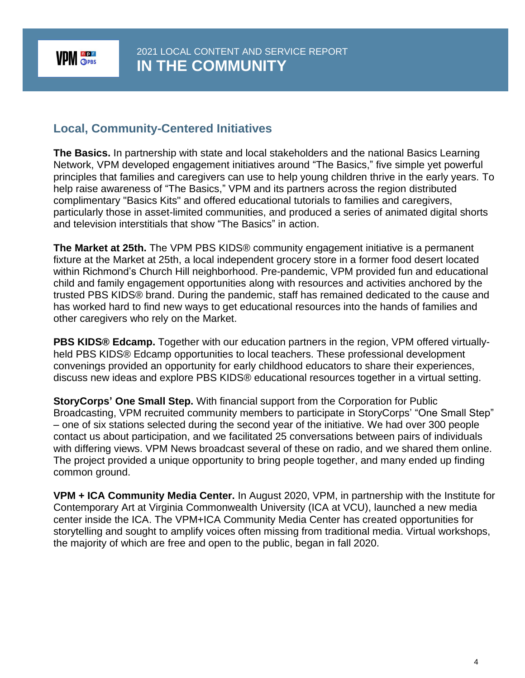

## **Local, Community-Centered Initiatives**

**The Basics.** In partnership with state and local stakeholders and the national Basics Learning Network, VPM developed engagement initiatives around "The Basics," five simple yet powerful principles that families and caregivers can use to help young children thrive in the early years. To help raise awareness of "The Basics," VPM and its partners across the region distributed complimentary "Basics Kits" and offered educational tutorials to families and caregivers, particularly those in asset-limited communities, and produced a series of animated digital shorts and television interstitials that show "The Basics" in action.

**The Market at 25th.** The VPM PBS KIDS® community engagement initiative is a permanent fixture at the Market at 25th, a local independent grocery store in a former food desert located within Richmond's Church Hill neighborhood. Pre-pandemic, VPM provided fun and educational child and family engagement opportunities along with resources and activities anchored by the trusted PBS KIDS® brand. During the pandemic, staff has remained dedicated to the cause and has worked hard to find new ways to get educational resources into the hands of families and other caregivers who rely on the Market.

**PBS KIDS® Edcamp.** Together with our education partners in the region, VPM offered virtuallyheld PBS KIDS® Edcamp opportunities to local teachers. These professional development convenings provided an opportunity for early childhood educators to share their experiences, discuss new ideas and explore PBS KIDS® educational resources together in a virtual setting.

**StoryCorps' One Small Step.** With financial support from the Corporation for Public Broadcasting, VPM recruited community members to participate in StoryCorps' "One Small Step" – one of six stations selected during the second year of the initiative. We had over 300 people contact us about participation, and we facilitated 25 conversations between pairs of individuals with differing views. VPM News broadcast several of these on radio, and we shared them online. The project provided a unique opportunity to bring people together, and many ended up finding common ground.

**VPM + ICA Community Media Center.** In August 2020, VPM, in partnership with the Institute for Contemporary Art at Virginia Commonwealth University (ICA at VCU), launched a new media center inside the ICA. The VPM+ICA Community Media Center has created opportunities for storytelling and sought to amplify voices often missing from traditional media. Virtual workshops, the majority of which are free and open to the public, began in fall 2020.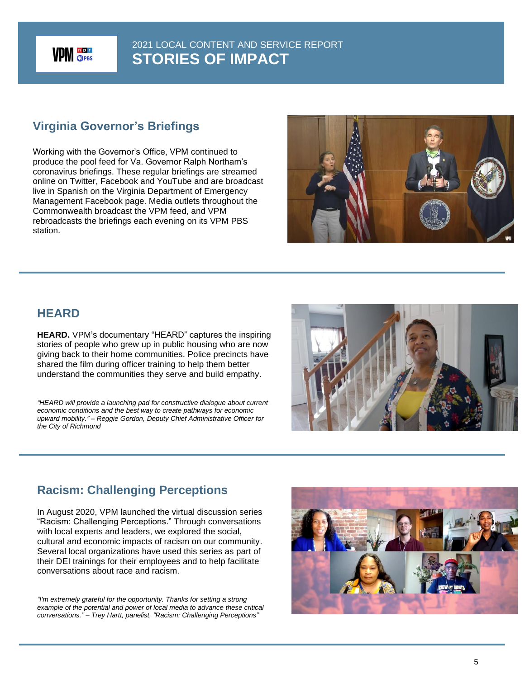

# 2021 LOCAL CONTENT AND SERVICE REPORT **STORIES OF IMPACT**

## **Virginia Governor's Briefings**

Working with the Governor's Office, VPM continued to produce the pool feed for Va. Governor Ralph Northam's coronavirus briefings. These regular briefings are streamed online on Twitter, Facebook and YouTube and are broadcast live in Spanish on the Virginia Department of Emergency Management Facebook page. Media outlets throughout the Commonwealth broadcast the VPM feed, and VPM rebroadcasts the briefings each evening on its VPM PBS station.



### **HEARD**

**HEARD.** VPM's documentary "HEARD" captures the inspiring stories of people who grew up in public housing who are now giving back to their home communities. Police precincts have shared the film during officer training to help them better understand the communities they serve and build empathy.

*"HEARD will provide a launching pad for constructive dialogue about current economic conditions and the best way to create pathways for economic upward mobility." – Reggie Gordon, Deputy Chief Administrative Officer for the City of Richmond*



# **Racism: Challenging Perceptions**

In August 2020, VPM launched the virtual discussion series "Racism: Challenging Perceptions." Through conversations with local experts and leaders, we explored the social, cultural and economic impacts of racism on our community. Several local organizations have used this series as part of their DEI trainings for their employees and to help facilitate conversations about race and racism.

*"I'm extremely grateful for the opportunity. Thanks for setting a strong example of the potential and power of local media to advance these critical conversations." – Trey Hartt, panelist, "Racism: Challenging Perceptions"*

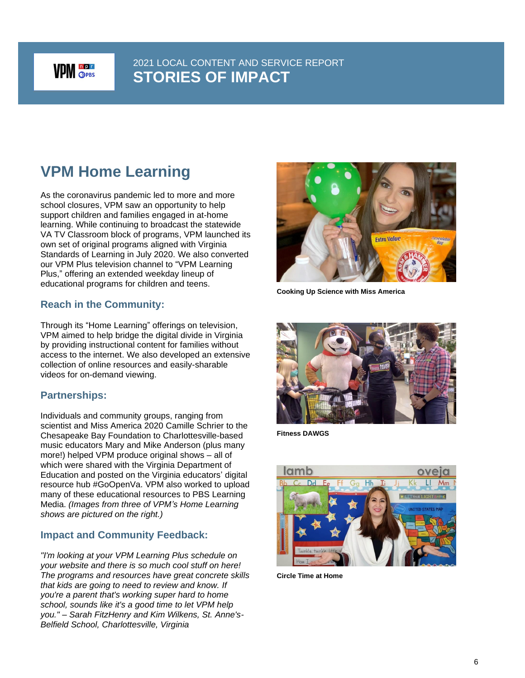# 2021 LOCAL CONTENT AND SERVICE REPORT **STORIES OF IMPACT**

# **VPM Home Learning**

As the coronavirus pandemic led to more and more school closures, VPM saw an opportunity to help support children and families engaged in at-home learning. While continuing to broadcast the statewide VA TV Classroom block of programs, VPM launched its own set of original programs aligned with Virginia Standards of Learning in July 2020. We also converted our VPM Plus television channel to "VPM Learning Plus," offering an extended weekday lineup of educational programs for children and teens.

#### **Reach in the Community:**

Through its "Home Learning" offerings on television, VPM aimed to help bridge the digital divide in Virginia by providing instructional content for families without access to the internet. We also developed an extensive collection of online resources and easily-sharable videos for on-demand viewing.

#### **Partnerships:**

Individuals and community groups, ranging from scientist and Miss America 2020 Camille Schrier to the Chesapeake Bay Foundation to Charlottesville-based music educators Mary and Mike Anderson (plus many more!) helped VPM produce original shows – all of which were shared with the Virginia Department of Education and posted on the Virginia educators' digital resource hub #GoOpenVa. VPM also worked to upload many of these educational resources to PBS Learning Media. *(Images from three of VPM's Home Learning shows are pictured on the right.)*

#### **Impact and Community Feedback:**

*"I'm looking at your VPM Learning Plus schedule on your website and there is so much cool stuff on here! The programs and resources have great concrete skills that kids are going to need to review and know. If you're a parent that's working super hard to home school, sounds like it's a good time to let VPM help you." – Sarah FitzHenry and Kim Wilkens, St. Anne's-Belfield School, Charlottesville, Virginia*



**Cooking Up Science with Miss America**



**Fitness DAWGS**



**Circle Time at Home**